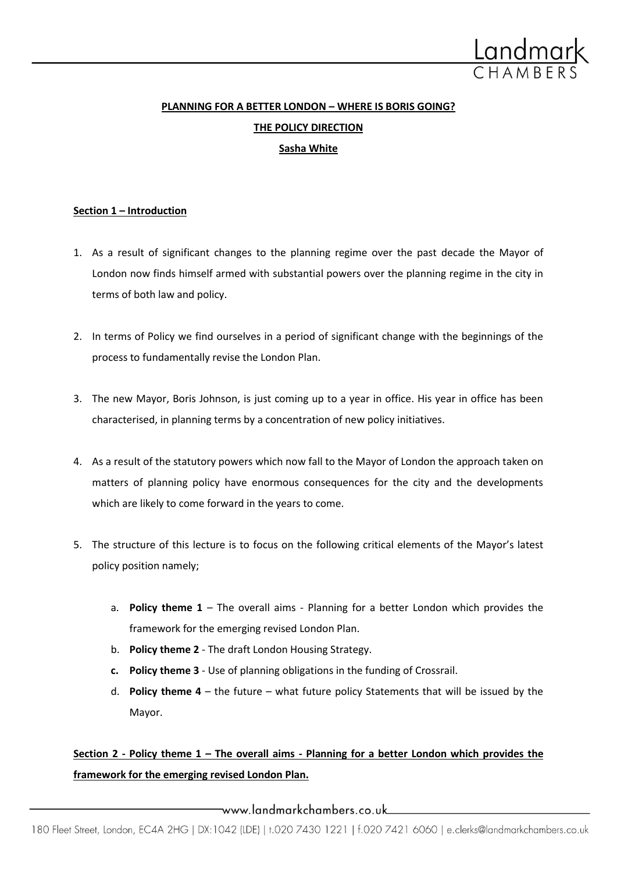

# **PLANNING FOR A BETTER LONDON – WHERE IS BORIS GOING? THE POLICY DIRECTION Sasha White**

### **Section 1 – Introduction**

- 1. As a result of significant changes to the planning regime over the past decade the Mayor of London now finds himself armed with substantial powers over the planning regime in the city in terms of both law and policy.
- 2. In terms of Policy we find ourselves in a period of significant change with the beginnings of the process to fundamentally revise the London Plan.
- 3. The new Mayor, Boris Johnson, is just coming up to a year in office. His year in office has been characterised, in planning terms by a concentration of new policy initiatives.
- 4. As a result of the statutory powers which now fall to the Mayor of London the approach taken on matters of planning policy have enormous consequences for the city and the developments which are likely to come forward in the years to come.
- 5. The structure of this lecture is to focus on the following critical elements of the Mayor's latest policy position namely;
	- a. **Policy theme 1** The overall aims Planning for a better London which provides the framework for the emerging revised London Plan.
	- b. **Policy theme 2** The draft London Housing Strategy.
	- **c. Policy theme 3** Use of planning obligations in the funding of Crossrail.
	- d. **Policy theme 4**  the future what future policy Statements that will be issued by the Mayor.

## **Section 2 - Policy theme 1 – The overall aims - Planning for a better London which provides the framework for the emerging revised London Plan.**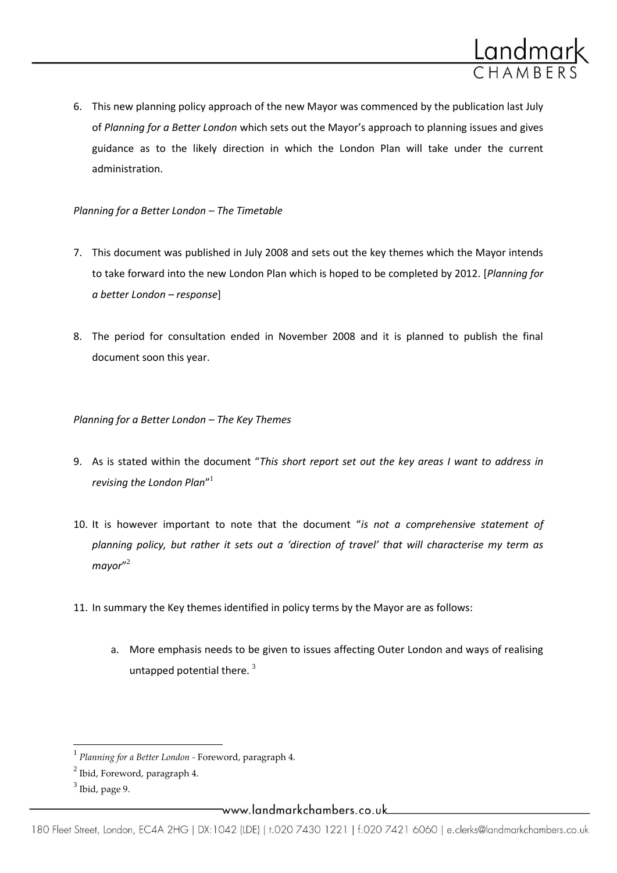

6. This new planning policy approach of the new Mayor was commenced by the publication last July of *Planning for a Better London* which sets out the Mayor's approach to planning issues and gives guidance as to the likely direction in which the London Plan will take under the current administration.

### *Planning for a Better London – The Timetable*

- 7. This document was published in July 2008 and sets out the key themes which the Mayor intends to take forward into the new London Plan which is hoped to be completed by 2012. [*Planning for a better London – response*]
- 8. The period for consultation ended in November 2008 and it is planned to publish the final document soon this year.

*Planning for a Better London – The Key Themes*

- 9. As is stated within the document "*This short report set out the key areas I want to address in revising the London Plan*" 1
- 10. It is however important to note that the document "*is not a comprehensive statement of planning policy, but rather it sets out a 'direction of travel' that will characterise my term as mayor*" 2
- 11. In summary the Key themes identified in policy terms by the Mayor are as follows:
	- a. More emphasis needs to be given to issues affecting Outer London and ways of realising untapped potential there.  $3$

l

<sup>1</sup> *Planning for a Better London -* Foreword, paragraph 4.

 $^2$  Ibid, Foreword, paragraph 4.

 $^3$  Ibid, page 9.

<sup>—</sup>www.landmarkchambers.co.uk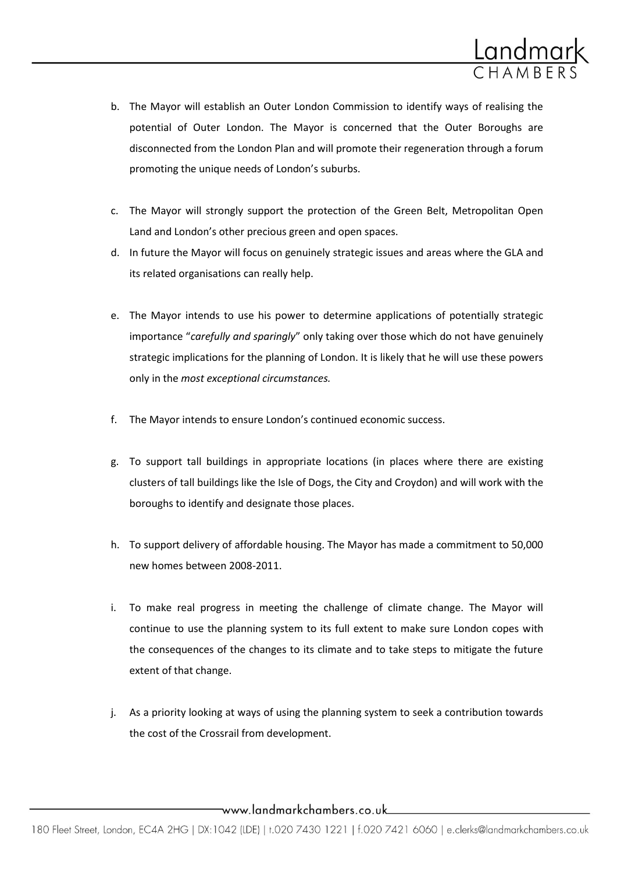

- b. The Mayor will establish an Outer London Commission to identify ways of realising the potential of Outer London. The Mayor is concerned that the Outer Boroughs are disconnected from the London Plan and will promote their regeneration through a forum promoting the unique needs of London's suburbs.
- c. The Mayor will strongly support the protection of the Green Belt, Metropolitan Open Land and London's other precious green and open spaces.
- d. In future the Mayor will focus on genuinely strategic issues and areas where the GLA and its related organisations can really help.
- e. The Mayor intends to use his power to determine applications of potentially strategic importance "*carefully and sparingly*" only taking over those which do not have genuinely strategic implications for the planning of London. It is likely that he will use these powers only in the *most exceptional circumstances.*
- f. The Mayor intends to ensure London's continued economic success.
- g. To support tall buildings in appropriate locations (in places where there are existing clusters of tall buildings like the Isle of Dogs, the City and Croydon) and will work with the boroughs to identify and designate those places.
- h. To support delivery of affordable housing. The Mayor has made a commitment to 50,000 new homes between 2008-2011.
- i. To make real progress in meeting the challenge of climate change. The Mayor will continue to use the planning system to its full extent to make sure London copes with the consequences of the changes to its climate and to take steps to mitigate the future extent of that change.
- j. As a priority looking at ways of using the planning system to seek a contribution towards the cost of the Crossrail from development.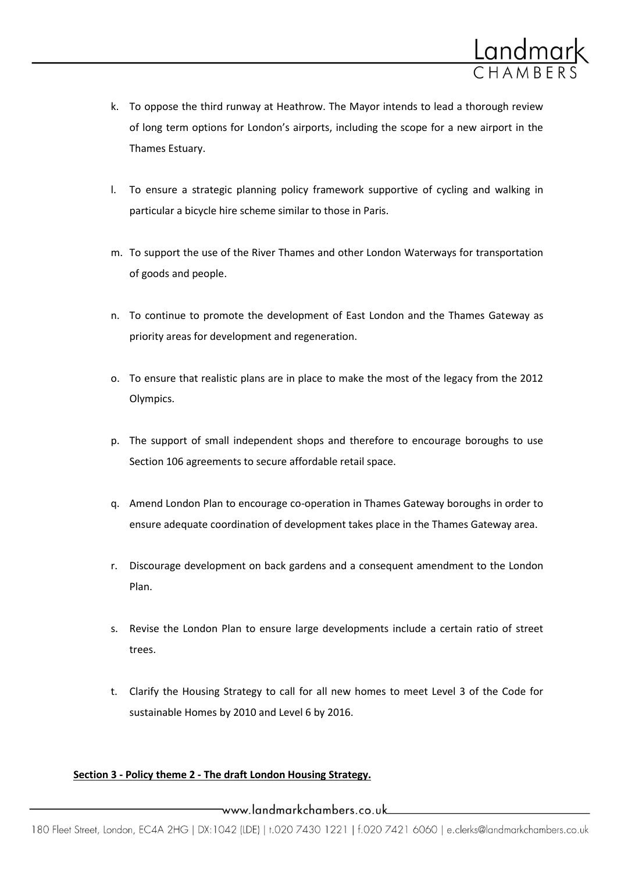

- k. To oppose the third runway at Heathrow. The Mayor intends to lead a thorough review of long term options for London's airports, including the scope for a new airport in the Thames Estuary.
- l. To ensure a strategic planning policy framework supportive of cycling and walking in particular a bicycle hire scheme similar to those in Paris.
- m. To support the use of the River Thames and other London Waterways for transportation of goods and people.
- n. To continue to promote the development of East London and the Thames Gateway as priority areas for development and regeneration.
- o. To ensure that realistic plans are in place to make the most of the legacy from the 2012 Olympics.
- p. The support of small independent shops and therefore to encourage boroughs to use Section 106 agreements to secure affordable retail space.
- q. Amend London Plan to encourage co-operation in Thames Gateway boroughs in order to ensure adequate coordination of development takes place in the Thames Gateway area.
- r. Discourage development on back gardens and a consequent amendment to the London Plan.
- s. Revise the London Plan to ensure large developments include a certain ratio of street trees.
- t. Clarify the Housing Strategy to call for all new homes to meet Level 3 of the Code for sustainable Homes by 2010 and Level 6 by 2016.

### **Section 3 - Policy theme 2 - The draft London Housing Strategy.**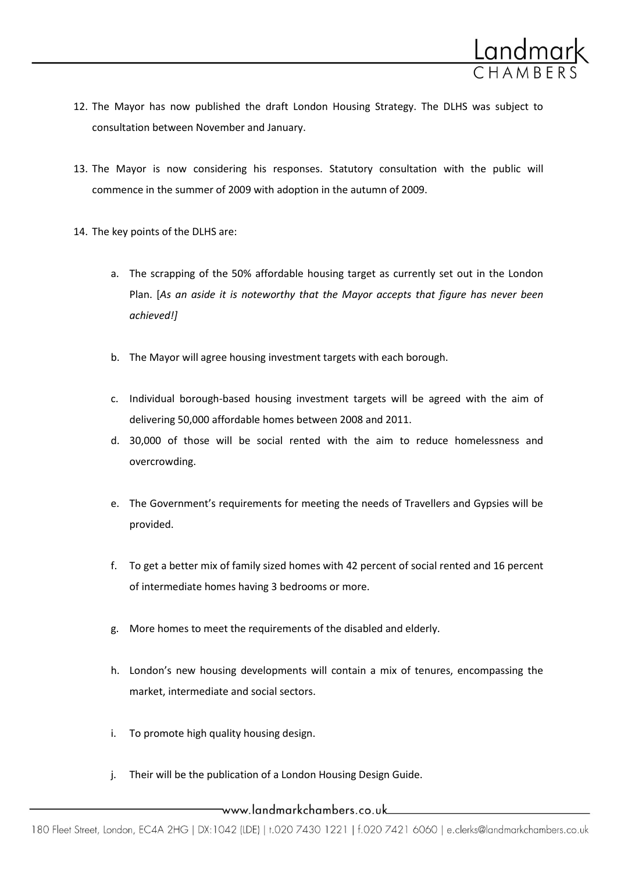

- 12. The Mayor has now published the draft London Housing Strategy. The DLHS was subject to consultation between November and January.
- 13. The Mayor is now considering his responses. Statutory consultation with the public will commence in the summer of 2009 with adoption in the autumn of 2009.
- 14. The key points of the DLHS are:
	- a. The scrapping of the 50% affordable housing target as currently set out in the London Plan. [*As an aside it is noteworthy that the Mayor accepts that figure has never been achieved!]*
	- b. The Mayor will agree housing investment targets with each borough.
	- c. Individual borough-based housing investment targets will be agreed with the aim of delivering 50,000 affordable homes between 2008 and 2011.
	- d. 30,000 of those will be social rented with the aim to reduce homelessness and overcrowding.
	- e. The Government's requirements for meeting the needs of Travellers and Gypsies will be provided.
	- f. To get a better mix of family sized homes with 42 percent of social rented and 16 percent of intermediate homes having 3 bedrooms or more.
	- g. More homes to meet the requirements of the disabled and elderly.
	- h. London's new housing developments will contain a mix of tenures, encompassing the market, intermediate and social sectors.
	- i. To promote high quality housing design.
	- j. Their will be the publication of a London Housing Design Guide.

### \_www.landmarkchambers.co.uk\_\_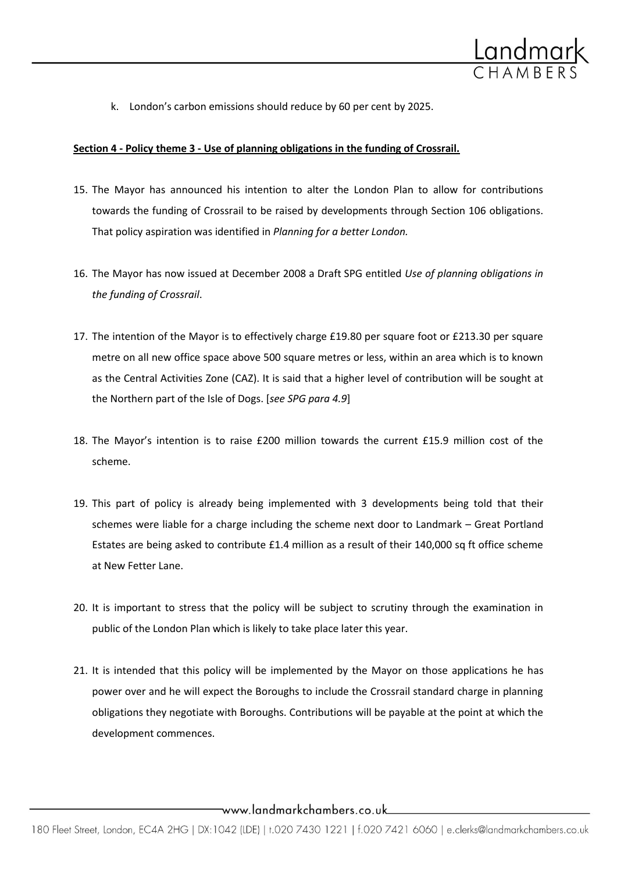

k. London's carbon emissions should reduce by 60 per cent by 2025.

#### **Section 4 - Policy theme 3 - Use of planning obligations in the funding of Crossrail.**

- 15. The Mayor has announced his intention to alter the London Plan to allow for contributions towards the funding of Crossrail to be raised by developments through Section 106 obligations. That policy aspiration was identified in *Planning for a better London.*
- 16. The Mayor has now issued at December 2008 a Draft SPG entitled *Use of planning obligations in the funding of Crossrail*.
- 17. The intention of the Mayor is to effectively charge £19.80 per square foot or £213.30 per square metre on all new office space above 500 square metres or less, within an area which is to known as the Central Activities Zone (CAZ). It is said that a higher level of contribution will be sought at the Northern part of the Isle of Dogs. [*see SPG para 4.9*]
- 18. The Mayor's intention is to raise £200 million towards the current £15.9 million cost of the scheme.
- 19. This part of policy is already being implemented with 3 developments being told that their schemes were liable for a charge including the scheme next door to Landmark – Great Portland Estates are being asked to contribute £1.4 million as a result of their 140,000 sq ft office scheme at New Fetter Lane.
- 20. It is important to stress that the policy will be subject to scrutiny through the examination in public of the London Plan which is likely to take place later this year.
- 21. It is intended that this policy will be implemented by the Mayor on those applications he has power over and he will expect the Boroughs to include the Crossrail standard charge in planning obligations they negotiate with Boroughs. Contributions will be payable at the point at which the development commences.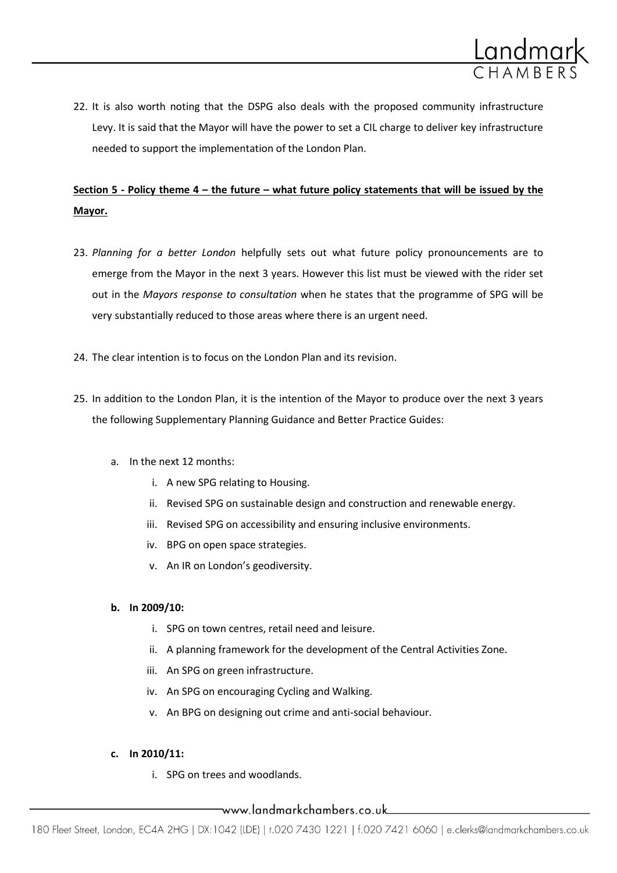

22. It is also worth noting that the DSPG also deals with the proposed community infrastructure Levy. It is said that the Mayor will have the power to set a CIL charge to deliver key infrastructure needed to support the implementation of the London Plan.

## **Section 5 - Policy theme 4 – the future – what future policy statements that will be issued by the Mayor.**

- 23. *Planning for a better London* helpfully sets out what future policy pronouncements are to emerge from the Mayor in the next 3 years. However this list must be viewed with the rider set out in the *Mayors response to consultation* when he states that the programme of SPG will be very substantially reduced to those areas where there is an urgent need.
- 24. The clear intention is to focus on the London Plan and its revision.
- 25. In addition to the London Plan, it is the intention of the Mayor to produce over the next 3 years the following Supplementary Planning Guidance and Better Practice Guides:
	- a. In the next 12 months:
		- i. A new SPG relating to Housing.
		- ii. Revised SPG on sustainable design and construction and renewable energy.
		- iii. Revised SPG on accessibility and ensuring inclusive environments.
		- iv. BPG on open space strategies.
		- v. An IR on London's geodiversity.

### **b. In 2009/10:**

- i. SPG on town centres, retail need and leisure.
- ii. A planning framework for the development of the Central Activities Zone.
- iii. An SPG on green infrastructure.
- iv. An SPG on encouraging Cycling and Walking.
- v. An BPG on designing out crime and anti-social behaviour.

### **c. In 2010/11:**

i. SPG on trees and woodlands.

### www.landmarkchambers.co.uk\_\_\_\_